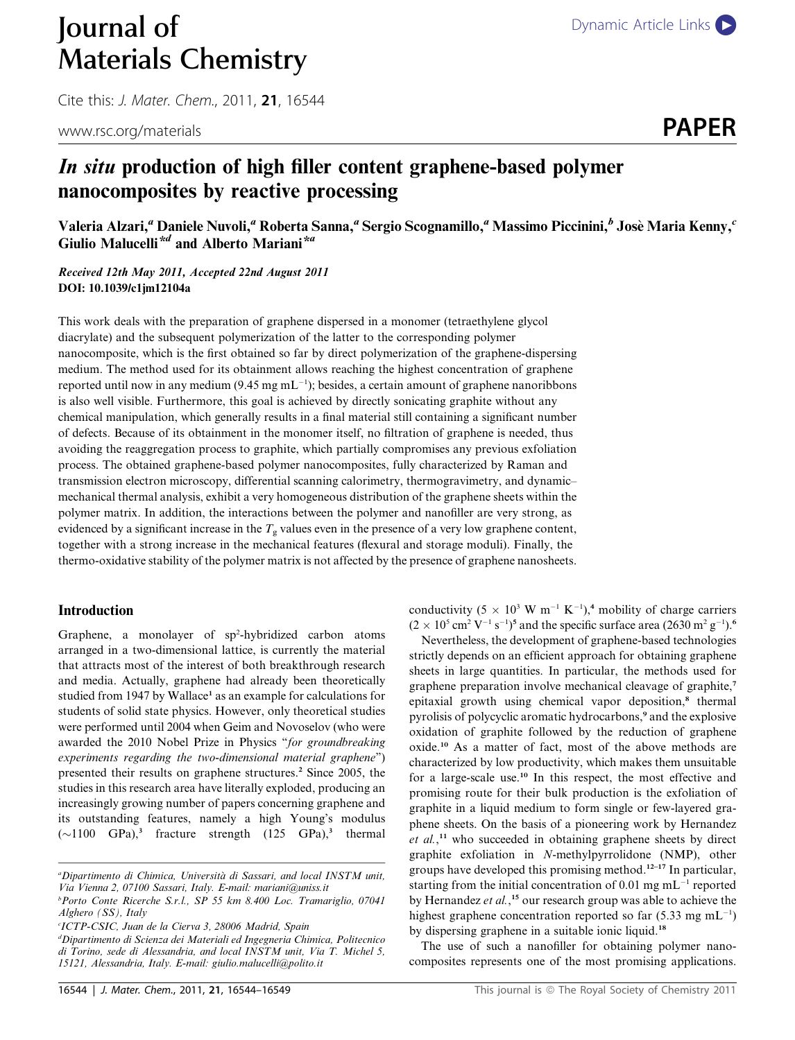# **Journal of** [Dynamic Article Links](http://dx.doi.org/10.1039/c1jm12104a) Materials Chemistry

Cite this: *J. Mater. Chem.*, 2011, **21**, 16544

www.rsc.org/materials **PAPER** 

## In situ production of high filler content graphene-based polymer nanocomposites by reactive processing

Valeria Alzari,<sup>a</sup> Daniele Nuvoli,<sup>a</sup> Roberta Sanna,<sup>a</sup> Sergio Scognamillo,<sup>a</sup> Massimo Piccinini,<sup>b</sup> Josè Maria Kenny,<sup>c</sup> Giulio Malucelli\*d and Alberto Mariani\*a

Received 12th May 2011, Accepted 22nd August 2011 DOI: 10.1039/c1jm12104a

This work deals with the preparation of graphene dispersed in a monomer (tetraethylene glycol diacrylate) and the subsequent polymerization of the latter to the corresponding polymer nanocomposite, which is the first obtained so far by direct polymerization of the graphene-dispersing medium. The method used for its obtainment allows reaching the highest concentration of graphene reported until now in any medium (9.45 mg mL<sup>-1</sup>); besides, a certain amount of graphene nanoribbons is also well visible. Furthermore, this goal is achieved by directly sonicating graphite without any chemical manipulation, which generally results in a final material still containing a significant number of defects. Because of its obtainment in the monomer itself, no filtration of graphene is needed, thus avoiding the reaggregation process to graphite, which partially compromises any previous exfoliation process. The obtained graphene-based polymer nanocomposites, fully characterized by Raman and transmission electron microscopy, differential scanning calorimetry, thermogravimetry, and dynamic– mechanical thermal analysis, exhibit a very homogeneous distribution of the graphene sheets within the polymer matrix. In addition, the interactions between the polymer and nanofiller are very strong, as evidenced by a significant increase in the  $T_g$  values even in the presence of a very low graphene content, together with a strong increase in the mechanical features (flexural and storage moduli). Finally, the thermo-oxidative stability of the polymer matrix is not affected by the presence of graphene nanosheets.

### Introduction

Graphene, a monolayer of sp<sup>2</sup>-hybridized carbon atoms arranged in a two-dimensional lattice, is currently the material that attracts most of the interest of both breakthrough research and media. Actually, graphene had already been theoretically studied from 1947 by Wallace<sup>1</sup> as an example for calculations for students of solid state physics. However, only theoretical studies were performed until 2004 when Geim and Novoselov (who were awarded the 2010 Nobel Prize in Physics "for groundbreaking experiments regarding the two-dimensional material graphene'') presented their results on graphene structures.<sup>2</sup> Since 2005, the studies in this research area have literally exploded, producing an increasingly growing number of papers concerning graphene and its outstanding features, namely a high Young's modulus  $(\sim 1100 \text{ GPa})$ ,<sup>3</sup> fracture strength (125 GPa),<sup>3</sup> thermal

b Porto Conte Ricerche S.r.l., SP 55 km 8.400 Loc. Tramariglio, 07041 Alghero (SS), Italy

c ICTP-CSIC, Juan de la Cierva 3, 28006 Madrid, Spain

<sup>d</sup>Dipartimento di Scienza dei Materiali ed Ingegneria Chimica, Politecnico di Torino, sede di Alessandria, and local INSTM unit, Via T. Michel 5, 15121, Alessandria, Italy. E-mail: giulio.malucelli@polito.it

conductivity  $(5 \times 10^3 \text{ W m}^{-1} \text{ K}^{-1})$ ,<sup>4</sup> mobility of charge carriers  $(2 \times 10^5 \text{ cm}^2 \text{ V}^{-1} \text{ s}^{-1})^5$  and the specific surface area  $(2630 \text{ m}^2 \text{ g}^{-1})$ .<sup>6</sup>

Nevertheless, the development of graphene-based technologies strictly depends on an efficient approach for obtaining graphene sheets in large quantities. In particular, the methods used for graphene preparation involve mechanical cleavage of graphite,<sup>7</sup> epitaxial growth using chemical vapor deposition,<sup>8</sup> thermal pyrolisis of polycyclic aromatic hydrocarbons,<sup>9</sup> and the explosive oxidation of graphite followed by the reduction of graphene oxide.<sup>10</sup> As a matter of fact, most of the above methods are characterized by low productivity, which makes them unsuitable for a large-scale use.<sup>10</sup> In this respect, the most effective and promising route for their bulk production is the exfoliation of graphite in a liquid medium to form single or few-layered graphene sheets. On the basis of a pioneering work by Hernandez et al.,<sup>11</sup> who succeeded in obtaining graphene sheets by direct graphite exfoliation in N-methylpyrrolidone (NMP), other groups have developed this promising method.12–17 In particular, starting from the initial concentration of 0.01 mg  $mL^{-1}$  reported by Hernandez et al.,<sup>15</sup> our research group was able to achieve the highest graphene concentration reported so far  $(5.33 \text{ mg } \text{mL}^{-1})$ by dispersing graphene in a suitable ionic liquid.<sup>18</sup>

The use of such a nanofiller for obtaining polymer nanocomposites represents one of the most promising applications.

a Dipartimento di Chimica, Universita di Sassari, and local INSTM unit, Via Vienna 2, 07100 Sassari, Italy. E-mail: mariani@uniss.it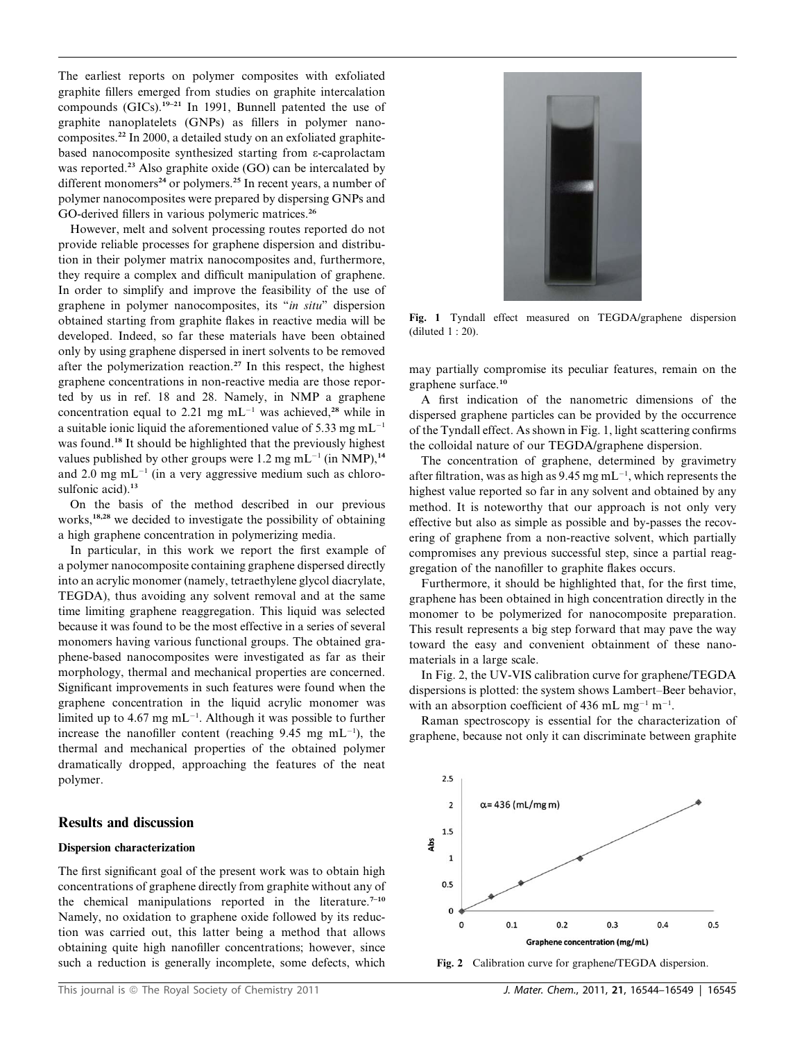The earliest reports on polymer composites with exfoliated graphite fillers emerged from studies on graphite intercalation compounds (GICs).19–21 In 1991, Bunnell patented the use of graphite nanoplatelets (GNPs) as fillers in polymer nanocomposites.<sup>22</sup> In 2000, a detailed study on an exfoliated graphitebased nanocomposite synthesized starting from  $\varepsilon$ -caprolactam was reported.<sup>23</sup> Also graphite oxide (GO) can be intercalated by different monomers<sup>24</sup> or polymers.<sup>25</sup> In recent years, a number of polymer nanocomposites were prepared by dispersing GNPs and GO-derived fillers in various polymeric matrices.<sup>26</sup>

However, melt and solvent processing routes reported do not provide reliable processes for graphene dispersion and distribution in their polymer matrix nanocomposites and, furthermore, they require a complex and difficult manipulation of graphene. In order to simplify and improve the feasibility of the use of graphene in polymer nanocomposites, its "in situ" dispersion obtained starting from graphite flakes in reactive media will be developed. Indeed, so far these materials have been obtained only by using graphene dispersed in inert solvents to be removed after the polymerization reaction.<sup>27</sup> In this respect, the highest graphene concentrations in non-reactive media are those reported by us in ref. 18 and 28. Namely, in NMP a graphene concentration equal to 2.21 mg  $mL^{-1}$  was achieved,<sup>28</sup> while in a suitable ionic liquid the aforementioned value of 5.33 mg  $mL^{-1}$ was found.<sup>18</sup> It should be highlighted that the previously highest values published by other groups were 1.2 mg  $mL^{-1}$  (in NMP),<sup>14</sup> and 2.0 mg  $mL^{-1}$  (in a very aggressive medium such as chlorosulfonic acid).<sup>13</sup>

On the basis of the method described in our previous works,<sup>18,28</sup> we decided to investigate the possibility of obtaining a high graphene concentration in polymerizing media.

In particular, in this work we report the first example of a polymer nanocomposite containing graphene dispersed directly into an acrylic monomer (namely, tetraethylene glycol diacrylate, TEGDA), thus avoiding any solvent removal and at the same time limiting graphene reaggregation. This liquid was selected because it was found to be the most effective in a series of several monomers having various functional groups. The obtained graphene-based nanocomposites were investigated as far as their morphology, thermal and mechanical properties are concerned. Significant improvements in such features were found when the graphene concentration in the liquid acrylic monomer was limited up to 4.67 mg mL<sup>-1</sup>. Although it was possible to further increase the nanofiller content (reaching  $9.45 \text{ mg } \text{mL}^{-1}$ ), the thermal and mechanical properties of the obtained polymer dramatically dropped, approaching the features of the neat polymer.

#### Results and discussion

#### Dispersion characterization

The first significant goal of the present work was to obtain high concentrations of graphene directly from graphite without any of the chemical manipulations reported in the literature.<sup> $7-10$ </sup> Namely, no oxidation to graphene oxide followed by its reduction was carried out, this latter being a method that allows obtaining quite high nanofiller concentrations; however, since such a reduction is generally incomplete, some defects, which



Fig. 1 Tyndall effect measured on TEGDA/graphene dispersion (diluted 1 : 20).

may partially compromise its peculiar features, remain on the graphene surface.<sup>10</sup>

A first indication of the nanometric dimensions of the dispersed graphene particles can be provided by the occurrence of the Tyndall effect. As shown in Fig. 1, light scattering confirms the colloidal nature of our TEGDA/graphene dispersion.

The concentration of graphene, determined by gravimetry after filtration, was as high as  $9.45$  mg mL<sup>-1</sup>, which represents the highest value reported so far in any solvent and obtained by any method. It is noteworthy that our approach is not only very effective but also as simple as possible and by-passes the recovering of graphene from a non-reactive solvent, which partially compromises any previous successful step, since a partial reaggregation of the nanofiller to graphite flakes occurs.

Furthermore, it should be highlighted that, for the first time, graphene has been obtained in high concentration directly in the monomer to be polymerized for nanocomposite preparation. This result represents a big step forward that may pave the way toward the easy and convenient obtainment of these nanomaterials in a large scale.

In Fig. 2, the UV-VIS calibration curve for graphene/TEGDA dispersions is plotted: the system shows Lambert–Beer behavior, with an absorption coefficient of 436 mL mg<sup>-1</sup> m<sup>-1</sup>.

Raman spectroscopy is essential for the characterization of graphene, because not only it can discriminate between graphite



Fig. 2 Calibration curve for graphene/TEGDA dispersion.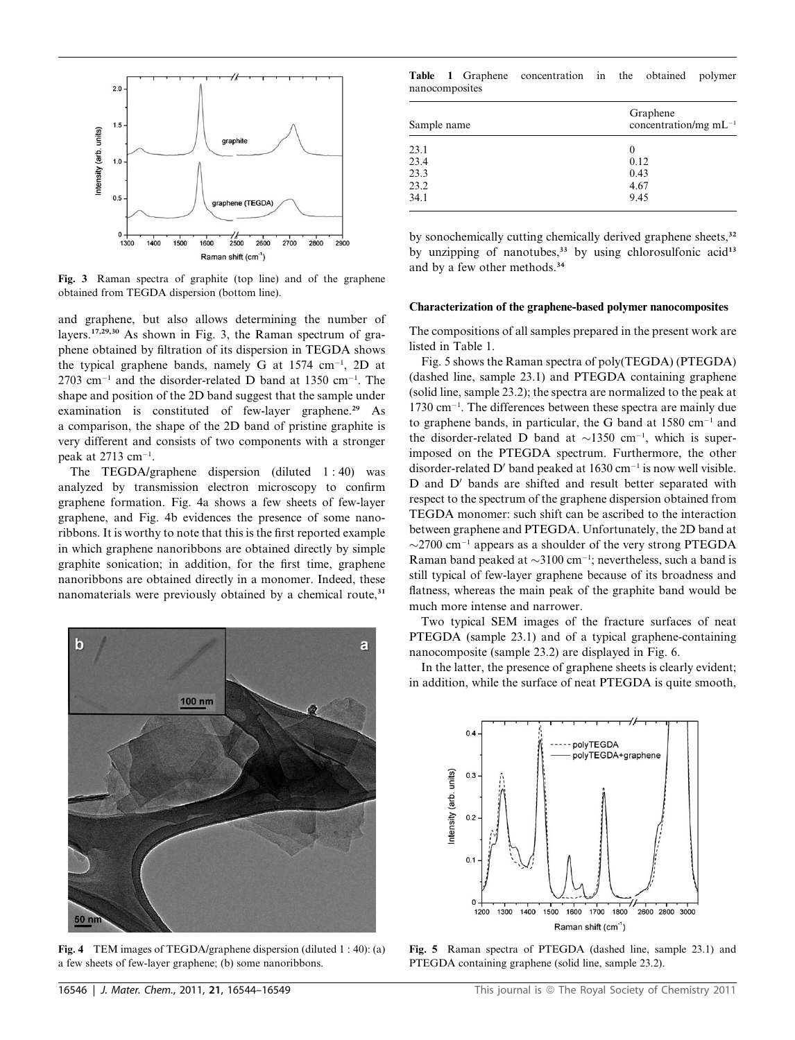

Fig. 3 Raman spectra of graphite (top line) and of the graphene obtained from TEGDA dispersion (bottom line).

and graphene, but also allows determining the number of layers.17,29,30 As shown in Fig. 3, the Raman spectrum of graphene obtained by filtration of its dispersion in TEGDA shows the typical graphene bands, namely G at  $1574 \text{ cm}^{-1}$ , 2D at  $2703$  cm<sup>-1</sup> and the disorder-related D band at 1350 cm<sup>-1</sup>. The shape and position of the 2D band suggest that the sample under examination is constituted of few-layer graphene.<sup>29</sup> As a comparison, the shape of the 2D band of pristine graphite is very different and consists of two components with a stronger peak at  $2713 \text{ cm}^{-1}$ .

The TEGDA/graphene dispersion (diluted 1 : 40) was analyzed by transmission electron microscopy to confirm graphene formation. Fig. 4a shows a few sheets of few-layer graphene, and Fig. 4b evidences the presence of some nanoribbons. It is worthy to note that this is the first reported example in which graphene nanoribbons are obtained directly by simple graphite sonication; in addition, for the first time, graphene nanoribbons are obtained directly in a monomer. Indeed, these nanomaterials were previously obtained by a chemical route,<sup>31</sup>



Fig. 4 TEM images of TEGDA/graphene dispersion (diluted 1 : 40): (a) a few sheets of few-layer graphene; (b) some nanoribbons.

Table 1 Graphene concentration in the obtained polymer nanocomposites

| Sample name | Graphene<br>concentration/mg $mL^{-1}$ |  |
|-------------|----------------------------------------|--|
| 23.1        | $\theta$                               |  |
| 23.4        | 0.12                                   |  |
| 23.3        | 0.43                                   |  |
| 23.2        | 4.67                                   |  |
| 34.1        | 9.45                                   |  |

by sonochemically cutting chemically derived graphene sheets,<sup>32</sup> by unzipping of nanotubes,<sup>33</sup> by using chlorosulfonic acid<sup>13</sup> and by a few other methods.<sup>34</sup>

#### Characterization of the graphene-based polymer nanocomposites

The compositions of all samples prepared in the present work are listed in Table 1.

Fig. 5 shows the Raman spectra of poly(TEGDA) (PTEGDA) (dashed line, sample 23.1) and PTEGDA containing graphene (solid line, sample 23.2); the spectra are normalized to the peak at  $1730 \text{ cm}^{-1}$ . The differences between these spectra are mainly due to graphene bands, in particular, the G band at  $1580 \text{ cm}^{-1}$  and the disorder-related D band at  $\sim$ 1350 cm<sup>-1</sup>, which is superimposed on the PTEGDA spectrum. Furthermore, the other disorder-related D' band peaked at  $1630 \text{ cm}^{-1}$  is now well visible.  $D$  and  $D'$  bands are shifted and result better separated with respect to the spectrum of the graphene dispersion obtained from TEGDA monomer: such shift can be ascribed to the interaction between graphene and PTEGDA. Unfortunately, the 2D band at  $\sim$ 2700 cm<sup>-1</sup> appears as a shoulder of the very strong PTEGDA Raman band peaked at  $\sim$ 3100 cm<sup>-1</sup>; nevertheless, such a band is still typical of few-layer graphene because of its broadness and flatness, whereas the main peak of the graphite band would be much more intense and narrower.

Two typical SEM images of the fracture surfaces of neat PTEGDA (sample 23.1) and of a typical graphene-containing nanocomposite (sample 23.2) are displayed in Fig. 6.

In the latter, the presence of graphene sheets is clearly evident; in addition, while the surface of neat PTEGDA is quite smooth,



Fig. 5 Raman spectra of PTEGDA (dashed line, sample 23.1) and PTEGDA containing graphene (solid line, sample 23.2).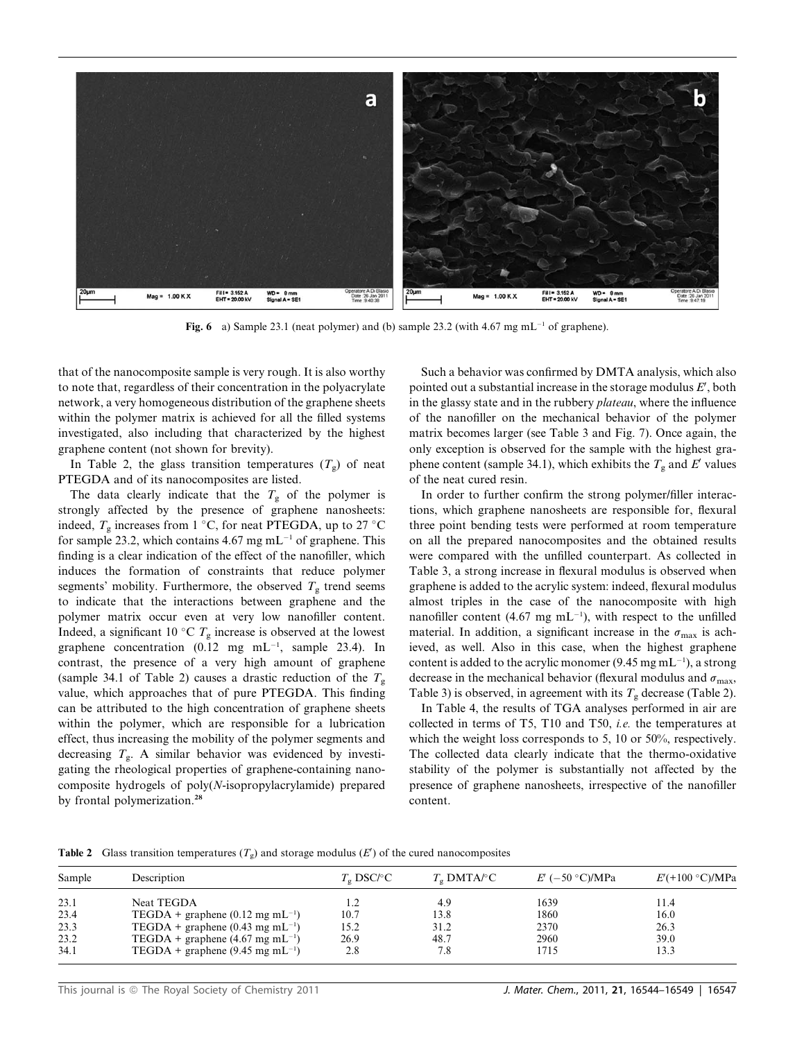

Fig. 6 a) Sample 23.1 (neat polymer) and (b) sample 23.2 (with 4.67 mg mL<sup>-1</sup> of graphene).

that of the nanocomposite sample is very rough. It is also worthy to note that, regardless of their concentration in the polyacrylate network, a very homogeneous distribution of the graphene sheets within the polymer matrix is achieved for all the filled systems investigated, also including that characterized by the highest graphene content (not shown for brevity).

In Table 2, the glass transition temperatures  $(T_g)$  of neat PTEGDA and of its nanocomposites are listed.

The data clearly indicate that the  $T<sub>g</sub>$  of the polymer is strongly affected by the presence of graphene nanosheets: indeed,  $T_g$  increases from 1 °C, for neat PTEGDA, up to 27 °C for sample 23.2, which contains 4.67 mg  $mL^{-1}$  of graphene. This finding is a clear indication of the effect of the nanofiller, which induces the formation of constraints that reduce polymer segments' mobility. Furthermore, the observed  $T_g$  trend seems to indicate that the interactions between graphene and the polymer matrix occur even at very low nanofiller content. Indeed, a significant 10 °C  $T_g$  increase is observed at the lowest graphene concentration  $(0.12 \text{ mg } \text{mL}^{-1}$ , sample 23.4). In contrast, the presence of a very high amount of graphene (sample 34.1 of Table 2) causes a drastic reduction of the  $T_g$ value, which approaches that of pure PTEGDA. This finding can be attributed to the high concentration of graphene sheets within the polymer, which are responsible for a lubrication effect, thus increasing the mobility of the polymer segments and decreasing  $T<sub>g</sub>$ . A similar behavior was evidenced by investigating the rheological properties of graphene-containing nanocomposite hydrogels of poly(N-isopropylacrylamide) prepared by frontal polymerization.<sup>28</sup>

Such a behavior was confirmed by DMTA analysis, which also pointed out a substantial increase in the storage modulus  $E'$ , both in the glassy state and in the rubbery plateau, where the influence of the nanofiller on the mechanical behavior of the polymer matrix becomes larger (see Table 3 and Fig. 7). Once again, the only exception is observed for the sample with the highest graphene content (sample 34.1), which exhibits the  $T_g$  and E' values of the neat cured resin.

In order to further confirm the strong polymer/filler interactions, which graphene nanosheets are responsible for, flexural three point bending tests were performed at room temperature on all the prepared nanocomposites and the obtained results were compared with the unfilled counterpart. As collected in Table 3, a strong increase in flexural modulus is observed when graphene is added to the acrylic system: indeed, flexural modulus almost triples in the case of the nanocomposite with high nanofiller content (4.67 mg  $mL^{-1}$ ), with respect to the unfilled material. In addition, a significant increase in the  $\sigma_{\text{max}}$  is achieved, as well. Also in this case, when the highest graphene content is added to the acrylic monomer (9.45 mg mL $^{-1}$ ), a strong decrease in the mechanical behavior (flexural modulus and  $\sigma_{\text{max}}$ , Table 3) is observed, in agreement with its  $T<sub>g</sub>$  decrease (Table 2).

In Table 4, the results of TGA analyses performed in air are collected in terms of T5, T10 and T50, i.e. the temperatures at which the weight loss corresponds to 5, 10 or 50%, respectively. The collected data clearly indicate that the thermo-oxidative stability of the polymer is substantially not affected by the presence of graphene nanosheets, irrespective of the nanofiller content.

**Table 2** Glass transition temperatures  $(T_g)$  and storage modulus  $(E')$  of the cured nanocomposites

| Sample | Description                                          | $T_{\sigma}$ DSC/°C | $T_o$ DMTA/°C | $E'$ (-50 °C)/MPa | $E'$ (+100 °C)/MPa |
|--------|------------------------------------------------------|---------------------|---------------|-------------------|--------------------|
| 23.1   | <b>Neat TEGDA</b>                                    | 1.2                 | 4.9           | 1639              | 11.4               |
| 23.4   | TEGDA + graphene $(0.12 \text{ mg } \text{mL}^{-1})$ | 10.7                | 13.8          | 1860              | 16.0               |
| 23.3   | TEGDA + graphene $(0.43 \text{ mg } \text{mL}^{-1})$ | 15.2                | 31.2          | 2370              | 26.3               |
| 23.2   | TEGDA + graphene $(4.67 \text{ mg } \text{mL}^{-1})$ | 26.9                | 48.7          | 2960              | 39.0               |
| 34.1   | TEGDA + graphene $(9.45 \text{ mg } \text{mL}^{-1})$ | 2.8                 | 7.8           | 1715              | 13.3               |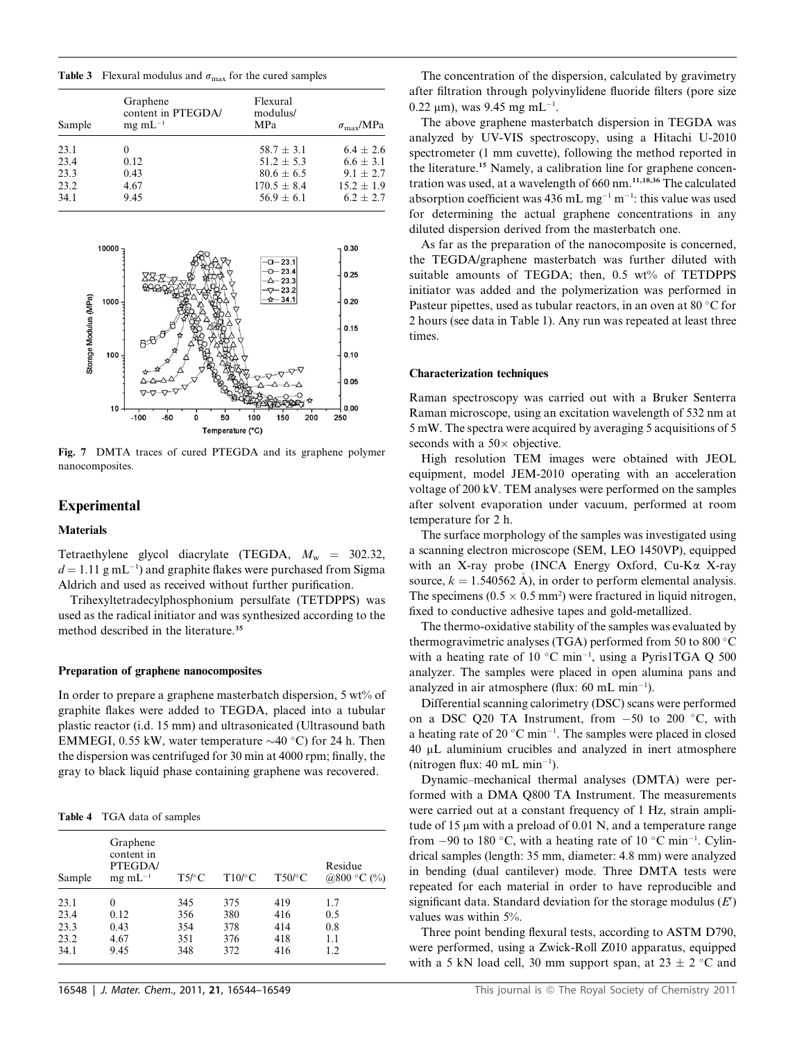| <b>Table 3</b> Flexural modulus and $\sigma_{\text{max}}$ for the cured samples |
|---------------------------------------------------------------------------------|
|---------------------------------------------------------------------------------|

| Sample | Graphene<br>content in PTEGDA/<br>$mg$ mL <sup>-1</sup> | Flexural<br>modulus/<br><b>MPa</b> | $\sigma_{\text{max}}/MPa$ |
|--------|---------------------------------------------------------|------------------------------------|---------------------------|
| 23.1   | $^{(1)}$                                                | $58.7 + 3.1$                       | $6.4 + 2.6$               |
| 23.4   | 0.12                                                    | $51.2 \pm 5.3$                     | $6.6 + 3.1$               |
| 23.3   | 0.43                                                    | $80.6 + 6.5$                       | $9.1 + 2.7$               |
| 23.2   | 4.67                                                    | $170.5 + 8.4$                      | $15.2 + 1.9$              |
| 34.1   | 9.45                                                    | $56.9 + 6.1$                       | $6.2 + 2.7$               |



Fig. 7 DMTA traces of cured PTEGDA and its graphene polymer nanocomposites.

#### Experimental

#### Materials

Tetraethylene glycol diacrylate (TEGDA,  $M_w = 302.32$ ,  $d = 1.11$  g mL<sup>-1</sup>) and graphite flakes were purchased from Sigma Aldrich and used as received without further purification.

Trihexyltetradecylphosphonium persulfate (TETDPPS) was used as the radical initiator and was synthesized according to the method described in the literature.<sup>35</sup>

#### Preparation of graphene nanocomposites

In order to prepare a graphene masterbatch dispersion, 5 wt% of graphite flakes were added to TEGDA, placed into a tubular plastic reactor (i.d. 15 mm) and ultrasonicated (Ultrasound bath EMMEGI, 0.55 kW, water temperature  $\sim$ 40 °C) for 24 h. Then the dispersion was centrifuged for 30 min at 4000 rpm; finally, the gray to black liquid phase containing graphene was recovered.

Table 4 TGA data of samples

| Sample | Graphene<br>content in<br>PTEGDA/<br>$mg$ mL <sup>-1</sup> | $T5\text{/}^{\circ}C$ | $T10\textdegree C$ | $T50\textdegree C$ | Residue<br>@800 °C (%) |
|--------|------------------------------------------------------------|-----------------------|--------------------|--------------------|------------------------|
| 23.1   | 0                                                          | 345                   | 375                | 419                | 1.7                    |
| 23.4   | 0.12                                                       | 356                   | 380                | 416                | 0.5                    |
| 23.3   | 0.43                                                       | 354                   | 378                | 414                | 0.8                    |
| 23.2   | 4.67                                                       | 351                   | 376                | 418                | 1.1                    |
| 34.1   | 9.45                                                       | 348                   | 372                | 416                | 1.2                    |

The concentration of the dispersion, calculated by gravimetry after filtration through polyvinylidene fluoride filters (pore size  $0.22 \mu m$ ), was 9.45 mg mL<sup>-1</sup>.

The above graphene masterbatch dispersion in TEGDA was analyzed by UV-VIS spectroscopy, using a Hitachi U-2010 spectrometer (1 mm cuvette), following the method reported in the literature.<sup>15</sup> Namely, a calibration line for graphene concentration was used, at a wavelength of  $660 \text{ nm}$ ,<sup>11,18,36</sup> The calculated absorption coefficient was 436 mL mg<sup>-1</sup> m<sup>-1</sup>: this value was used for determining the actual graphene concentrations in any diluted dispersion derived from the masterbatch one.

As far as the preparation of the nanocomposite is concerned, the TEGDA/graphene masterbatch was further diluted with suitable amounts of TEGDA; then, 0.5 wt% of TETDPPS initiator was added and the polymerization was performed in Pasteur pipettes, used as tubular reactors, in an oven at  $80^{\circ}$ C for 2 hours (see data in Table 1). Any run was repeated at least three times.

#### Characterization techniques

Raman spectroscopy was carried out with a Bruker Senterra Raman microscope, using an excitation wavelength of 532 nm at 5 mW. The spectra were acquired by averaging 5 acquisitions of 5 seconds with a  $50 \times$  objective.

High resolution TEM images were obtained with JEOL equipment, model JEM-2010 operating with an acceleration voltage of 200 kV. TEM analyses were performed on the samples after solvent evaporation under vacuum, performed at room temperature for 2 h.

The surface morphology of the samples was investigated using a scanning electron microscope (SEM, LEO 1450VP), equipped with an X-ray probe (INCA Energy Oxford, Cu-Ka X-ray source,  $k = 1.540562$  Å), in order to perform elemental analysis. The specimens ( $0.5 \times 0.5$  mm<sup>2</sup>) were fractured in liquid nitrogen, fixed to conductive adhesive tapes and gold-metallized.

The thermo-oxidative stability of the samples was evaluated by thermogravimetric analyses (TGA) performed from 50 to 800  $^{\circ}$ C with a heating rate of 10  $^{\circ}$ C min<sup>-1</sup>, using a Pyris1TGA Q 500 analyzer. The samples were placed in open alumina pans and analyzed in air atmosphere (flux:  $60$  mL min<sup>-1</sup>).

Differential scanning calorimetry (DSC) scans were performed on a DSC Q20 TA Instrument, from  $-50$  to 200 °C, with a heating rate of 20  $^{\circ}$ C min<sup>-1</sup>. The samples were placed in closed 40 mL aluminium crucibles and analyzed in inert atmosphere (nitrogen flux:  $40$  mL min<sup>-1</sup>).

Dynamic–mechanical thermal analyses (DMTA) were performed with a DMA Q800 TA Instrument. The measurements were carried out at a constant frequency of 1 Hz, strain amplitude of 15 µm with a preload of 0.01 N, and a temperature range from  $-90$  to 180 °C, with a heating rate of 10 °C min<sup>-1</sup>. Cylindrical samples (length: 35 mm, diameter: 4.8 mm) were analyzed in bending (dual cantilever) mode. Three DMTA tests were repeated for each material in order to have reproducible and significant data. Standard deviation for the storage modulus  $(E)$ values was within 5%.

Three point bending flexural tests, according to ASTM D790, were performed, using a Zwick-Roll Z010 apparatus, equipped with a 5 kN load cell, 30 mm support span, at  $23 \pm 2$  °C and